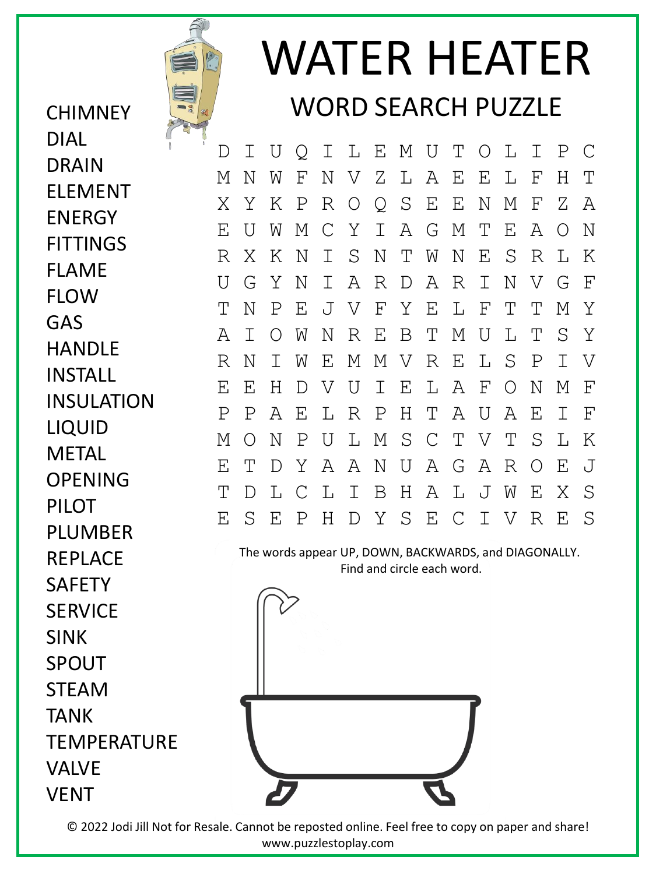



## WATER HEATER WORD SEARCH PUZZLE

D I U Q I L E M U T O L I P C M N W F N V Z L A E E L F H T X Y K P R O Q S E E N M F Z A E U W M C Y I A G M T E A O N R X K N I S N T W N E S R L K U G Y N I A R D A R I N V G F T N P E J V F Y E L F T T M Y A I O W N R E B T M U L T S Y R N I W E M M V R E L S P I V E E H D V U I E L A F O N M F P P A E L R P H T A U A E I F M O N P U L M S C T V T S L K E T D Y A A N U A G A R O E J T D L C L I B H A L J W E X S E S E P H D Y S E C I V R E S

The words appear UP, DOWN, BACKWARDS, and DIAGONALLY. Find and circle each word.



© 2022 Jodi Jill Not for Resale. Cannot be reposted online. Feel free to copy on paper and share! www.puzzlestoplay.com